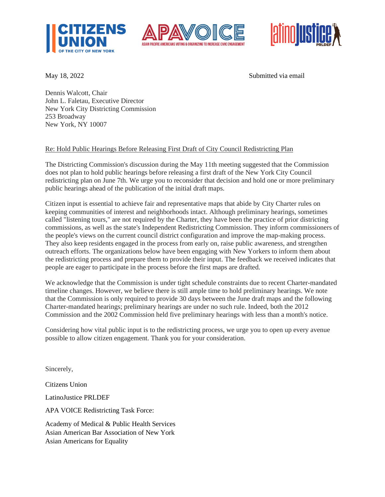





May 18, 2022 Submitted via email

Dennis Walcott, Chair John L. Faletau, Executive Director New York City Districting Commission 253 Broadway New York, NY 10007

## Re: Hold Public Hearings Before Releasing First Draft of City Council Redistricting Plan

The Districting Commission's discussion during the May 11th meeting suggested that the Commission does not plan to hold public hearings before releasing a first draft of the New York City Council redistricting plan on June 7th. We urge you to reconsider that decision and hold one or more preliminary public hearings ahead of the publication of the initial draft maps.

Citizen input is essential to achieve fair and representative maps that abide by City Charter rules on keeping communities of interest and neighborhoods intact. Although preliminary hearings, sometimes called "listening tours," are not required by the Charter, they have been the practice of prior districting commissions, as well as the state's Independent Redistricting Commission. They inform commissioners of the people's views on the current council district configuration and improve the map-making process. They also keep residents engaged in the process from early on, raise public awareness, and strengthen outreach efforts. The organizations below have been engaging with New Yorkers to inform them about the redistricting process and prepare them to provide their input. The feedback we received indicates that people are eager to participate in the process before the first maps are drafted.

We acknowledge that the Commission is under tight schedule constraints due to recent Charter-mandated timeline changes. However, we believe there is still ample time to hold preliminary hearings. We note that the Commission is only required to provide 30 days between the June draft maps and the following Charter-mandated hearings; preliminary hearings are under no such rule. Indeed, both the 2012 Commission and the 2002 Commission held five preliminary hearings with less than a month's notice.

Considering how vital public input is to the redistricting process, we urge you to open up every avenue possible to allow citizen engagement. Thank you for your consideration.

Sincerely,

Citizens Union

LatinoJustice PRLDEF

APA VOICE Redistricting Task Force:

Academy of Medical & Public Health Services Asian American Bar Association of New York Asian Americans for Equality